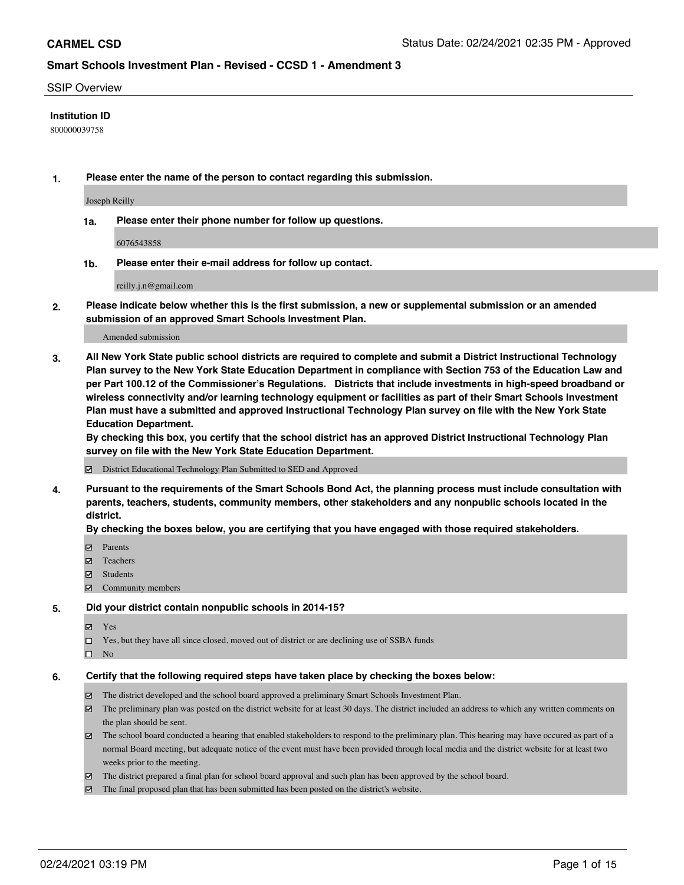#### SSIP Overview

### **Institution ID**

800000039758

**1. Please enter the name of the person to contact regarding this submission.**

Joseph Reilly

**1a. Please enter their phone number for follow up questions.**

6076543858

**1b. Please enter their e-mail address for follow up contact.**

reilly.j.n@gmail.com

**2. Please indicate below whether this is the first submission, a new or supplemental submission or an amended submission of an approved Smart Schools Investment Plan.**

#### Amended submission

**3. All New York State public school districts are required to complete and submit a District Instructional Technology Plan survey to the New York State Education Department in compliance with Section 753 of the Education Law and per Part 100.12 of the Commissioner's Regulations. Districts that include investments in high-speed broadband or wireless connectivity and/or learning technology equipment or facilities as part of their Smart Schools Investment Plan must have a submitted and approved Instructional Technology Plan survey on file with the New York State Education Department.** 

**By checking this box, you certify that the school district has an approved District Instructional Technology Plan survey on file with the New York State Education Department.**

District Educational Technology Plan Submitted to SED and Approved

**4. Pursuant to the requirements of the Smart Schools Bond Act, the planning process must include consultation with parents, teachers, students, community members, other stakeholders and any nonpublic schools located in the district.** 

#### **By checking the boxes below, you are certifying that you have engaged with those required stakeholders.**

- **Ø** Parents
- Teachers
- Students
- $\Xi$  Community members

#### **5. Did your district contain nonpublic schools in 2014-15?**

- Yes
- □ Yes, but they have all since closed, moved out of district or are declining use of SSBA funds
- $\square$  No

#### **6. Certify that the following required steps have taken place by checking the boxes below:**

- The district developed and the school board approved a preliminary Smart Schools Investment Plan.
- The preliminary plan was posted on the district website for at least 30 days. The district included an address to which any written comments on the plan should be sent.
- The school board conducted a hearing that enabled stakeholders to respond to the preliminary plan. This hearing may have occured as part of a normal Board meeting, but adequate notice of the event must have been provided through local media and the district website for at least two weeks prior to the meeting.
- The district prepared a final plan for school board approval and such plan has been approved by the school board.
- $\boxtimes$  The final proposed plan that has been submitted has been posted on the district's website.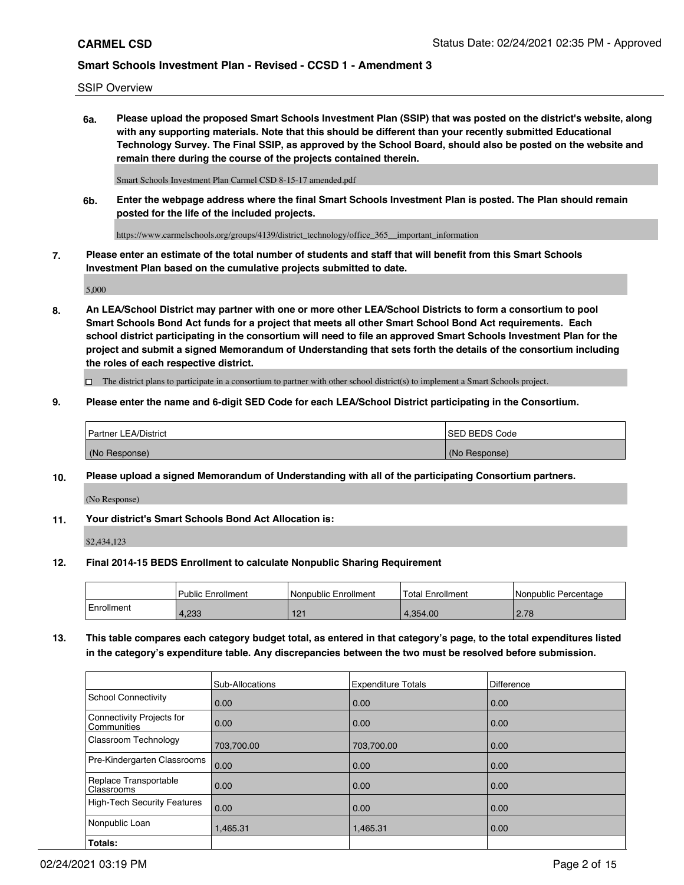SSIP Overview

**6a. Please upload the proposed Smart Schools Investment Plan (SSIP) that was posted on the district's website, along with any supporting materials. Note that this should be different than your recently submitted Educational Technology Survey. The Final SSIP, as approved by the School Board, should also be posted on the website and remain there during the course of the projects contained therein.**

Smart Schools Investment Plan Carmel CSD 8-15-17 amended.pdf

**6b. Enter the webpage address where the final Smart Schools Investment Plan is posted. The Plan should remain posted for the life of the included projects.**

https://www.carmelschools.org/groups/4139/district\_technology/office\_365\_\_important\_information

**7. Please enter an estimate of the total number of students and staff that will benefit from this Smart Schools Investment Plan based on the cumulative projects submitted to date.**

5,000

**8. An LEA/School District may partner with one or more other LEA/School Districts to form a consortium to pool Smart Schools Bond Act funds for a project that meets all other Smart School Bond Act requirements. Each school district participating in the consortium will need to file an approved Smart Schools Investment Plan for the project and submit a signed Memorandum of Understanding that sets forth the details of the consortium including the roles of each respective district.**

 $\Box$  The district plans to participate in a consortium to partner with other school district(s) to implement a Smart Schools project.

### **9. Please enter the name and 6-digit SED Code for each LEA/School District participating in the Consortium.**

| Partner LEA/District | <b>ISED BEDS Code</b> |
|----------------------|-----------------------|
| (No Response)        | (No Response)         |

### **10. Please upload a signed Memorandum of Understanding with all of the participating Consortium partners.**

(No Response)

### **11. Your district's Smart Schools Bond Act Allocation is:**

\$2,434,123

#### **12. Final 2014-15 BEDS Enrollment to calculate Nonpublic Sharing Requirement**

|            | Public Enrollment | Nonpublic Enrollment | Total Enrollment | I Nonpublic Percentage |
|------------|-------------------|----------------------|------------------|------------------------|
| Enrollment | 1.233             | 404<br>╹┙            | 4.354.00         | 2.78                   |

**13. This table compares each category budget total, as entered in that category's page, to the total expenditures listed in the category's expenditure table. Any discrepancies between the two must be resolved before submission.**

|                                          | Sub-Allocations | <b>Expenditure Totals</b> | Difference |
|------------------------------------------|-----------------|---------------------------|------------|
| <b>School Connectivity</b>               | 0.00            | 0.00                      | 0.00       |
| Connectivity Projects for<br>Communities | 0.00            | 0.00                      | 0.00       |
| Classroom Technology                     | 703,700.00      | 703,700.00                | 0.00       |
| Pre-Kindergarten Classrooms              | 0.00            | 0.00                      | 0.00       |
| Replace Transportable<br>Classrooms      | 0.00            | 0.00                      | 0.00       |
| <b>High-Tech Security Features</b>       | 0.00            | 0.00                      | 0.00       |
| Nonpublic Loan                           | 1,465.31        | 1,465.31                  | 0.00       |
| Totals:                                  |                 |                           |            |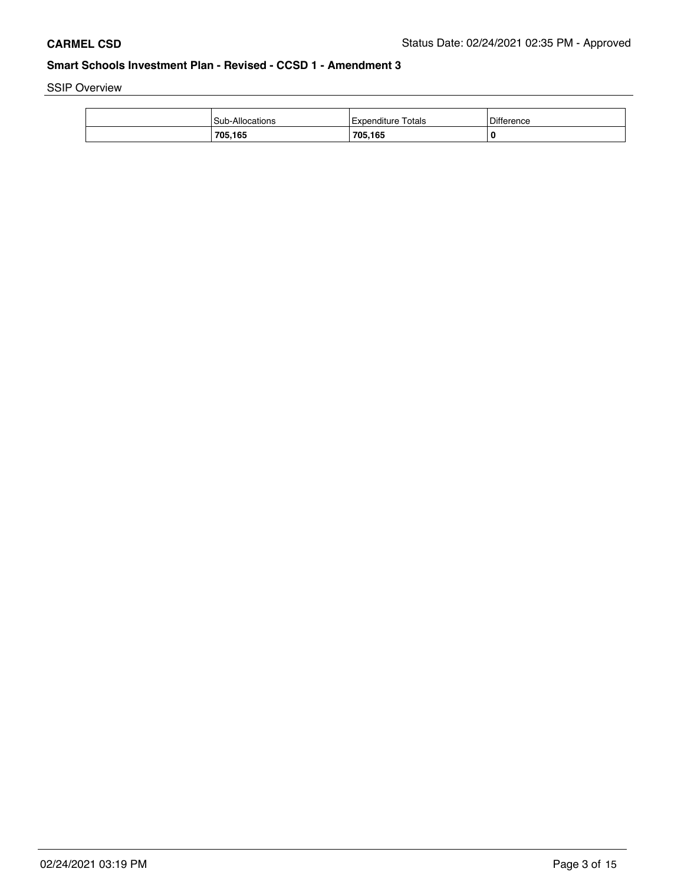SSIP Overview

| <b>Sub-Allocations</b> | Totals<br>⊥Expenditure | Difference |
|------------------------|------------------------|------------|
| 705.165                | 705,165                | O          |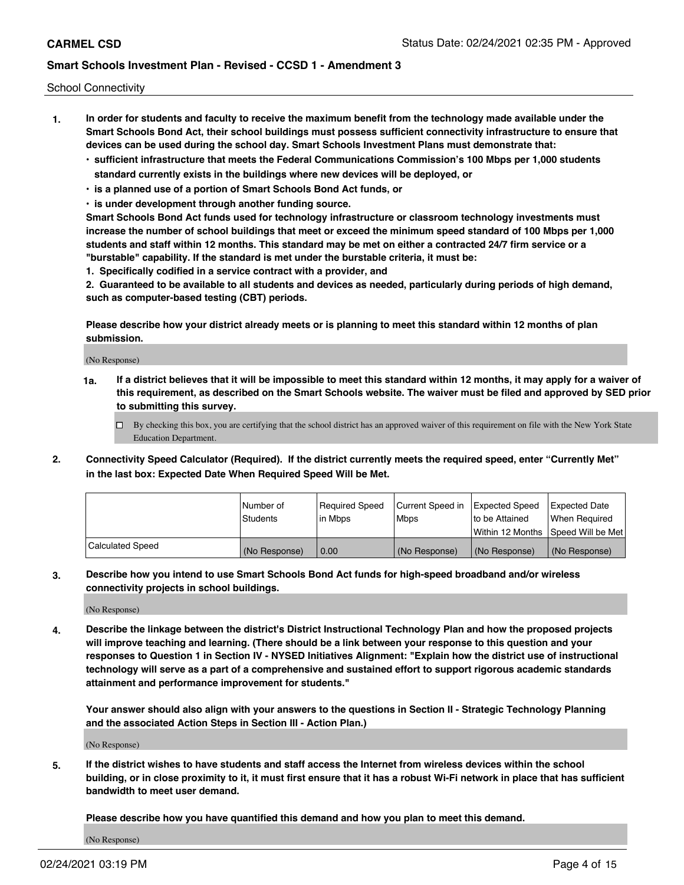School Connectivity

- **1. In order for students and faculty to receive the maximum benefit from the technology made available under the Smart Schools Bond Act, their school buildings must possess sufficient connectivity infrastructure to ensure that devices can be used during the school day. Smart Schools Investment Plans must demonstrate that:**
	- **• sufficient infrastructure that meets the Federal Communications Commission's 100 Mbps per 1,000 students standard currently exists in the buildings where new devices will be deployed, or**
	- **• is a planned use of a portion of Smart Schools Bond Act funds, or**
	- **• is under development through another funding source.**

**Smart Schools Bond Act funds used for technology infrastructure or classroom technology investments must increase the number of school buildings that meet or exceed the minimum speed standard of 100 Mbps per 1,000 students and staff within 12 months. This standard may be met on either a contracted 24/7 firm service or a "burstable" capability. If the standard is met under the burstable criteria, it must be:**

**1. Specifically codified in a service contract with a provider, and**

**2. Guaranteed to be available to all students and devices as needed, particularly during periods of high demand, such as computer-based testing (CBT) periods.**

**Please describe how your district already meets or is planning to meet this standard within 12 months of plan submission.**

(No Response)

**1a. If a district believes that it will be impossible to meet this standard within 12 months, it may apply for a waiver of this requirement, as described on the Smart Schools website. The waiver must be filed and approved by SED prior to submitting this survey.**

 $\Box$  By checking this box, you are certifying that the school district has an approved waiver of this requirement on file with the New York State Education Department.

**2. Connectivity Speed Calculator (Required). If the district currently meets the required speed, enter "Currently Met" in the last box: Expected Date When Required Speed Will be Met.**

|                  | l Number of   | Required Speed | Current Speed in | Expected Speed  | <b>Expected Date</b>                    |
|------------------|---------------|----------------|------------------|-----------------|-----------------------------------------|
|                  | Students      | l in Mbps      | Mbps             | Ito be Attained | When Required                           |
|                  |               |                |                  |                 | l Within 12 Months ISpeed Will be Met l |
| Calculated Speed | (No Response) | 0.00           | (No Response)    | (No Response)   | l (No Response)                         |

**3. Describe how you intend to use Smart Schools Bond Act funds for high-speed broadband and/or wireless connectivity projects in school buildings.**

(No Response)

**4. Describe the linkage between the district's District Instructional Technology Plan and how the proposed projects will improve teaching and learning. (There should be a link between your response to this question and your responses to Question 1 in Section IV - NYSED Initiatives Alignment: "Explain how the district use of instructional technology will serve as a part of a comprehensive and sustained effort to support rigorous academic standards attainment and performance improvement for students."** 

**Your answer should also align with your answers to the questions in Section II - Strategic Technology Planning and the associated Action Steps in Section III - Action Plan.)**

(No Response)

**5. If the district wishes to have students and staff access the Internet from wireless devices within the school building, or in close proximity to it, it must first ensure that it has a robust Wi-Fi network in place that has sufficient bandwidth to meet user demand.**

**Please describe how you have quantified this demand and how you plan to meet this demand.**

(No Response)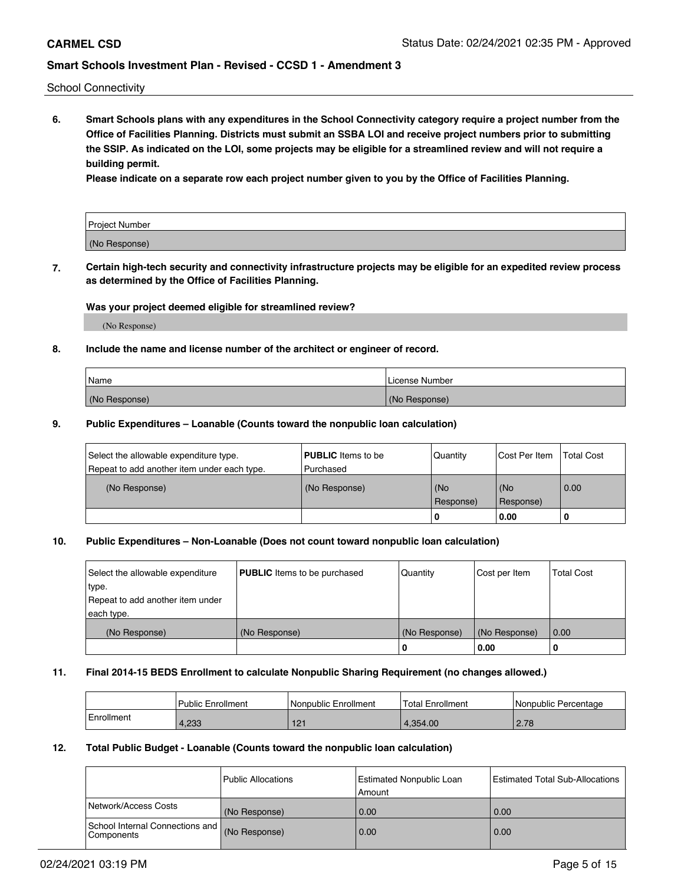School Connectivity

**6. Smart Schools plans with any expenditures in the School Connectivity category require a project number from the Office of Facilities Planning. Districts must submit an SSBA LOI and receive project numbers prior to submitting the SSIP. As indicated on the LOI, some projects may be eligible for a streamlined review and will not require a building permit.**

**Please indicate on a separate row each project number given to you by the Office of Facilities Planning.**

| Project Number |  |
|----------------|--|
| (No Response)  |  |

**7. Certain high-tech security and connectivity infrastructure projects may be eligible for an expedited review process as determined by the Office of Facilities Planning.**

### **Was your project deemed eligible for streamlined review?**

(No Response)

### **8. Include the name and license number of the architect or engineer of record.**

| Name          | License Number |
|---------------|----------------|
| (No Response) | (No Response)  |

#### **9. Public Expenditures – Loanable (Counts toward the nonpublic loan calculation)**

| Select the allowable expenditure type.<br>Repeat to add another item under each type. | <b>PUBLIC</b> Items to be<br>l Purchased | Quantity           | Cost Per Item    | <b>Total Cost</b> |
|---------------------------------------------------------------------------------------|------------------------------------------|--------------------|------------------|-------------------|
| (No Response)                                                                         | (No Response)                            | l (No<br>Response) | (No<br>Response) | 0.00              |
|                                                                                       |                                          | -0                 | 0.00             |                   |

## **10. Public Expenditures – Non-Loanable (Does not count toward nonpublic loan calculation)**

| Select the allowable expenditure<br>type.<br>Repeat to add another item under<br>each type. | <b>PUBLIC</b> Items to be purchased | Quantity      | Cost per Item | <b>Total Cost</b> |
|---------------------------------------------------------------------------------------------|-------------------------------------|---------------|---------------|-------------------|
| (No Response)                                                                               | (No Response)                       | (No Response) | (No Response) | 0.00              |
|                                                                                             |                                     | υ             | 0.00          |                   |

#### **11. Final 2014-15 BEDS Enrollment to calculate Nonpublic Sharing Requirement (no changes allowed.)**

|            | l Public Enrollment | Nonpublic Enrollment | <b>Total Enrollment</b> | l Nonpublic Percentage |
|------------|---------------------|----------------------|-------------------------|------------------------|
| Enrollment | 4.233               | 101<br>▎∠▏           | .354.00                 | 2.78                   |

#### **12. Total Public Budget - Loanable (Counts toward the nonpublic loan calculation)**

|                                               | l Public Allocations | <b>Estimated Nonpublic Loan</b><br>Amount | Estimated Total Sub-Allocations |
|-----------------------------------------------|----------------------|-------------------------------------------|---------------------------------|
| Network/Access Costs                          | (No Response)        | 0.00                                      | 0.00                            |
| School Internal Connections and<br>Components | (No Response)        | 0.00                                      | 0.00                            |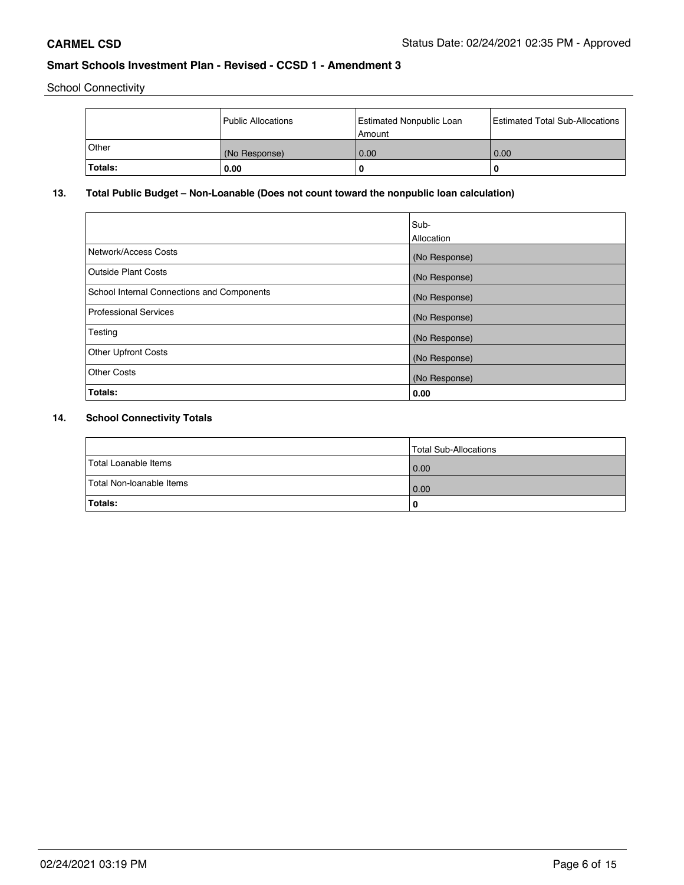School Connectivity

|              | Public Allocations | <b>Estimated Nonpublic Loan</b><br>l Amount | <b>Estimated Total Sub-Allocations</b> |
|--------------|--------------------|---------------------------------------------|----------------------------------------|
| <b>Other</b> | (No Response)      | 0.00                                        | 0.00                                   |
| Totals:      | 0.00               | 0                                           |                                        |

# **13. Total Public Budget – Non-Loanable (Does not count toward the nonpublic loan calculation)**

| Sub-<br>Allocation |
|--------------------|
| (No Response)      |
| (No Response)      |
| (No Response)      |
| (No Response)      |
| (No Response)      |
| (No Response)      |
| (No Response)      |
| 0.00               |
|                    |

# **14. School Connectivity Totals**

|                          | Total Sub-Allocations |
|--------------------------|-----------------------|
| Total Loanable Items     | 0.00                  |
| Total Non-loanable Items | 0.00                  |
| Totals:                  | 0                     |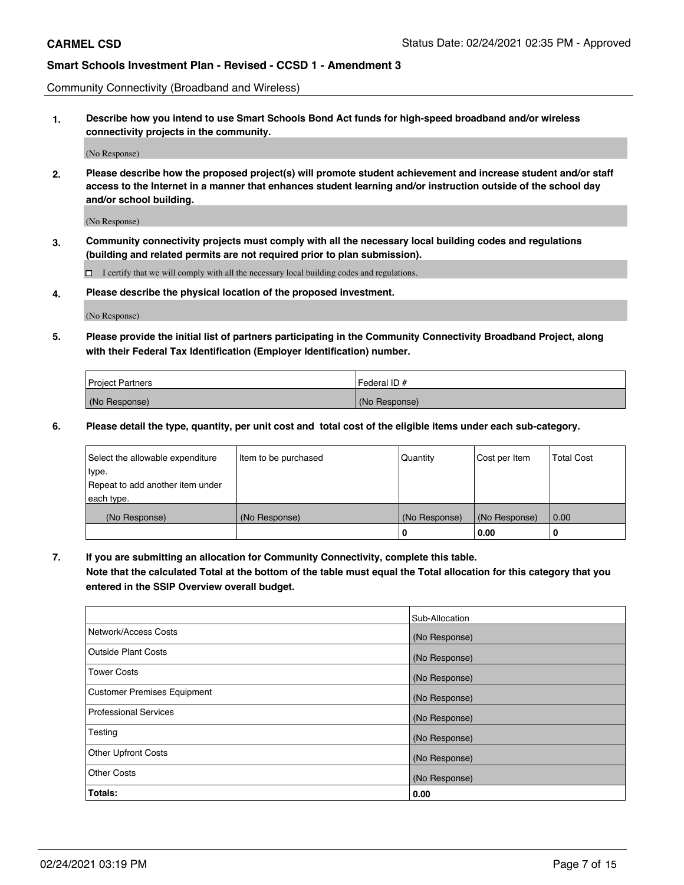Community Connectivity (Broadband and Wireless)

**1. Describe how you intend to use Smart Schools Bond Act funds for high-speed broadband and/or wireless connectivity projects in the community.**

(No Response)

**2. Please describe how the proposed project(s) will promote student achievement and increase student and/or staff access to the Internet in a manner that enhances student learning and/or instruction outside of the school day and/or school building.**

(No Response)

**3. Community connectivity projects must comply with all the necessary local building codes and regulations (building and related permits are not required prior to plan submission).**

 $\Box$  I certify that we will comply with all the necessary local building codes and regulations.

**4. Please describe the physical location of the proposed investment.**

(No Response)

**5. Please provide the initial list of partners participating in the Community Connectivity Broadband Project, along with their Federal Tax Identification (Employer Identification) number.**

| <b>Project Partners</b> | Federal ID#   |
|-------------------------|---------------|
| (No Response)           | (No Response) |

**6. Please detail the type, quantity, per unit cost and total cost of the eligible items under each sub-category.**

| Select the allowable expenditure | Item to be purchased | Quantity      | Cost per Item | <b>Total Cost</b> |
|----------------------------------|----------------------|---------------|---------------|-------------------|
| type.                            |                      |               |               |                   |
| Repeat to add another item under |                      |               |               |                   |
| each type.                       |                      |               |               |                   |
| (No Response)                    | (No Response)        | (No Response) | (No Response) | 0.00              |
|                                  |                      | o             | 0.00          | 0                 |

**7. If you are submitting an allocation for Community Connectivity, complete this table.**

**Note that the calculated Total at the bottom of the table must equal the Total allocation for this category that you entered in the SSIP Overview overall budget.**

|                                    | Sub-Allocation |
|------------------------------------|----------------|
| Network/Access Costs               | (No Response)  |
| Outside Plant Costs                | (No Response)  |
| <b>Tower Costs</b>                 | (No Response)  |
| <b>Customer Premises Equipment</b> | (No Response)  |
| <b>Professional Services</b>       | (No Response)  |
| Testing                            | (No Response)  |
| <b>Other Upfront Costs</b>         | (No Response)  |
| <b>Other Costs</b>                 | (No Response)  |
| Totals:                            | 0.00           |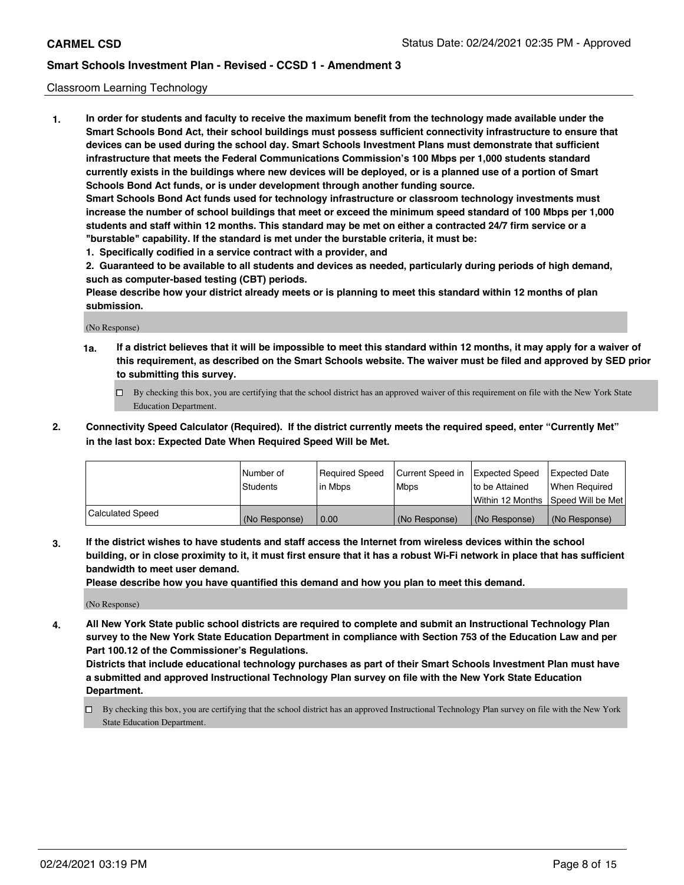### Classroom Learning Technology

**1. In order for students and faculty to receive the maximum benefit from the technology made available under the Smart Schools Bond Act, their school buildings must possess sufficient connectivity infrastructure to ensure that devices can be used during the school day. Smart Schools Investment Plans must demonstrate that sufficient infrastructure that meets the Federal Communications Commission's 100 Mbps per 1,000 students standard currently exists in the buildings where new devices will be deployed, or is a planned use of a portion of Smart Schools Bond Act funds, or is under development through another funding source. Smart Schools Bond Act funds used for technology infrastructure or classroom technology investments must increase the number of school buildings that meet or exceed the minimum speed standard of 100 Mbps per 1,000 students and staff within 12 months. This standard may be met on either a contracted 24/7 firm service or a "burstable" capability. If the standard is met under the burstable criteria, it must be:**

**1. Specifically codified in a service contract with a provider, and**

**2. Guaranteed to be available to all students and devices as needed, particularly during periods of high demand, such as computer-based testing (CBT) periods.**

**Please describe how your district already meets or is planning to meet this standard within 12 months of plan submission.**

(No Response)

- **1a. If a district believes that it will be impossible to meet this standard within 12 months, it may apply for a waiver of this requirement, as described on the Smart Schools website. The waiver must be filed and approved by SED prior to submitting this survey.**
	- By checking this box, you are certifying that the school district has an approved waiver of this requirement on file with the New York State Education Department.
- **2. Connectivity Speed Calculator (Required). If the district currently meets the required speed, enter "Currently Met" in the last box: Expected Date When Required Speed Will be Met.**

|                  | l Number of   | Required Speed | Current Speed in | <b>Expected Speed</b> | <b>Expected Date</b>                |
|------------------|---------------|----------------|------------------|-----------------------|-------------------------------------|
|                  | Students      | l in Mbps      | l Mbps           | to be Attained        | When Required                       |
|                  |               |                |                  |                       | Within 12 Months  Speed Will be Met |
| Calculated Speed | (No Response) | 0.00           | (No Response)    | (No Response)         | (No Response)                       |

**3. If the district wishes to have students and staff access the Internet from wireless devices within the school building, or in close proximity to it, it must first ensure that it has a robust Wi-Fi network in place that has sufficient bandwidth to meet user demand.**

**Please describe how you have quantified this demand and how you plan to meet this demand.**

(No Response)

**4. All New York State public school districts are required to complete and submit an Instructional Technology Plan survey to the New York State Education Department in compliance with Section 753 of the Education Law and per Part 100.12 of the Commissioner's Regulations.**

**Districts that include educational technology purchases as part of their Smart Schools Investment Plan must have a submitted and approved Instructional Technology Plan survey on file with the New York State Education Department.**

By checking this box, you are certifying that the school district has an approved Instructional Technology Plan survey on file with the New York State Education Department.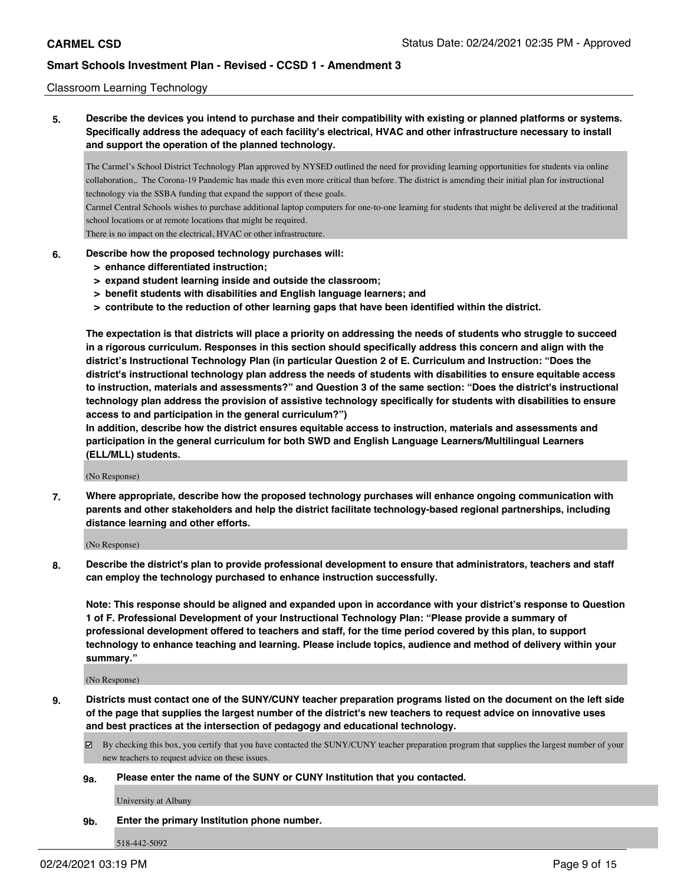### Classroom Learning Technology

**5. Describe the devices you intend to purchase and their compatibility with existing or planned platforms or systems. Specifically address the adequacy of each facility's electrical, HVAC and other infrastructure necessary to install and support the operation of the planned technology.**

The Carmel's School District Technology Plan approved by NYSED outlined the need for providing learning opportunities for students via online collaboration,. The Corona-19 Pandemic has made this even more critical than before. The district is amending their initial plan for instructional technology via the SSBA funding that expand the support of these goals.

Carmel Central Schools wishes to purchase additional laptop computers for one-to-one learning for students that might be delivered at the traditional school locations or at remote locations that might be required.

There is no impact on the electrical, HVAC or other infrastructure.

#### **6. Describe how the proposed technology purchases will:**

- **> enhance differentiated instruction;**
- **> expand student learning inside and outside the classroom;**
- **> benefit students with disabilities and English language learners; and**
- **> contribute to the reduction of other learning gaps that have been identified within the district.**

**The expectation is that districts will place a priority on addressing the needs of students who struggle to succeed in a rigorous curriculum. Responses in this section should specifically address this concern and align with the district's Instructional Technology Plan (in particular Question 2 of E. Curriculum and Instruction: "Does the district's instructional technology plan address the needs of students with disabilities to ensure equitable access to instruction, materials and assessments?" and Question 3 of the same section: "Does the district's instructional technology plan address the provision of assistive technology specifically for students with disabilities to ensure access to and participation in the general curriculum?")**

**In addition, describe how the district ensures equitable access to instruction, materials and assessments and participation in the general curriculum for both SWD and English Language Learners/Multilingual Learners (ELL/MLL) students.**

(No Response)

**7. Where appropriate, describe how the proposed technology purchases will enhance ongoing communication with parents and other stakeholders and help the district facilitate technology-based regional partnerships, including distance learning and other efforts.**

(No Response)

**8. Describe the district's plan to provide professional development to ensure that administrators, teachers and staff can employ the technology purchased to enhance instruction successfully.**

**Note: This response should be aligned and expanded upon in accordance with your district's response to Question 1 of F. Professional Development of your Instructional Technology Plan: "Please provide a summary of professional development offered to teachers and staff, for the time period covered by this plan, to support technology to enhance teaching and learning. Please include topics, audience and method of delivery within your summary."**

(No Response)

- **9. Districts must contact one of the SUNY/CUNY teacher preparation programs listed on the document on the left side of the page that supplies the largest number of the district's new teachers to request advice on innovative uses and best practices at the intersection of pedagogy and educational technology.**
	- By checking this box, you certify that you have contacted the SUNY/CUNY teacher preparation program that supplies the largest number of your new teachers to request advice on these issues.

#### **9a. Please enter the name of the SUNY or CUNY Institution that you contacted.**

University at Albany

#### **9b. Enter the primary Institution phone number.**

518-442-5092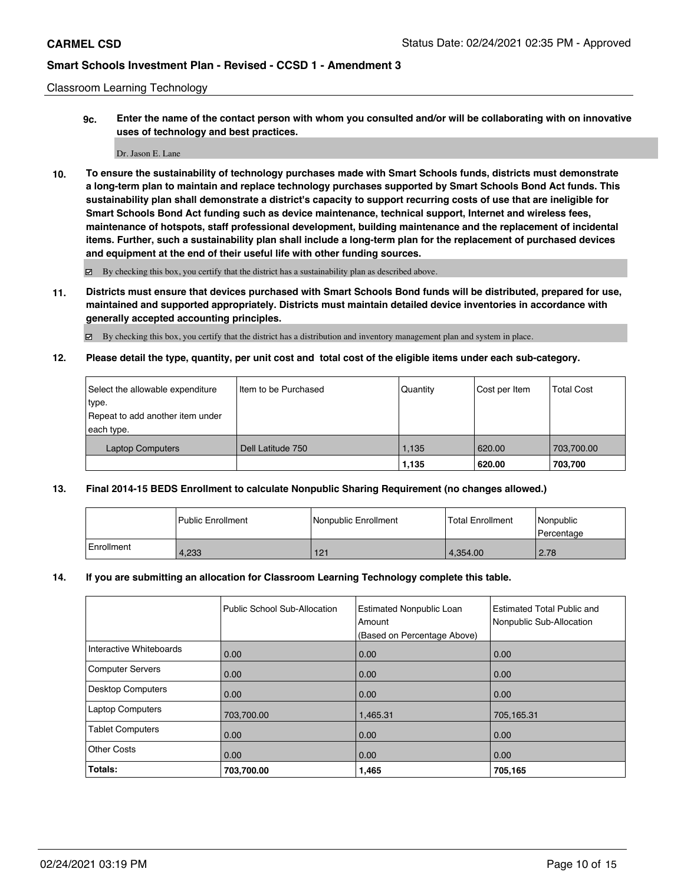#### Classroom Learning Technology

**9c. Enter the name of the contact person with whom you consulted and/or will be collaborating with on innovative uses of technology and best practices.**

#### Dr. Jason E. Lane

**10. To ensure the sustainability of technology purchases made with Smart Schools funds, districts must demonstrate a long-term plan to maintain and replace technology purchases supported by Smart Schools Bond Act funds. This sustainability plan shall demonstrate a district's capacity to support recurring costs of use that are ineligible for Smart Schools Bond Act funding such as device maintenance, technical support, Internet and wireless fees, maintenance of hotspots, staff professional development, building maintenance and the replacement of incidental items. Further, such a sustainability plan shall include a long-term plan for the replacement of purchased devices and equipment at the end of their useful life with other funding sources.**

By checking this box, you certify that the district has a sustainability plan as described above.

**11. Districts must ensure that devices purchased with Smart Schools Bond funds will be distributed, prepared for use, maintained and supported appropriately. Districts must maintain detailed device inventories in accordance with generally accepted accounting principles.**

By checking this box, you certify that the district has a distribution and inventory management plan and system in place.

**12. Please detail the type, quantity, per unit cost and total cost of the eligible items under each sub-category.**

| Select the allowable expenditure<br>type.<br>Repeat to add another item under<br>each type. | Iltem to be Purchased | Quantity      | Cost per Item    | <b>Total Cost</b>     |
|---------------------------------------------------------------------------------------------|-----------------------|---------------|------------------|-----------------------|
| <b>Laptop Computers</b>                                                                     | Dell Latitude 750     | .135<br>1,135 | 620.00<br>620.00 | 703,700.00<br>703,700 |

### **13. Final 2014-15 BEDS Enrollment to calculate Nonpublic Sharing Requirement (no changes allowed.)**

|              | <b>Public Enrollment</b> | Nonpublic Enrollment | <b>Total Enrollment</b> | <i>Nonpublic</i><br>Percentage |
|--------------|--------------------------|----------------------|-------------------------|--------------------------------|
| l Enrollment | 4.233                    | 121                  | 4.354.00                | 2.78                           |

### **14. If you are submitting an allocation for Classroom Learning Technology complete this table.**

|                         | Public School Sub-Allocation | <b>Estimated Nonpublic Loan</b><br>Amount<br>(Based on Percentage Above) | <b>Estimated Total Public and</b><br>Nonpublic Sub-Allocation |
|-------------------------|------------------------------|--------------------------------------------------------------------------|---------------------------------------------------------------|
| Interactive Whiteboards | 0.00                         | 0.00                                                                     | 0.00                                                          |
| Computer Servers        | 0.00                         | 0.00                                                                     | 0.00                                                          |
| Desktop Computers       | 0.00                         | 0.00                                                                     | 0.00                                                          |
| <b>Laptop Computers</b> | 703,700.00                   | 1,465.31                                                                 | 705,165.31                                                    |
| <b>Tablet Computers</b> | 0.00                         | 0.00                                                                     | 0.00                                                          |
| <b>Other Costs</b>      | 0.00                         | 0.00                                                                     | 0.00                                                          |
| Totals:                 | 703,700.00                   | 1,465                                                                    | 705,165                                                       |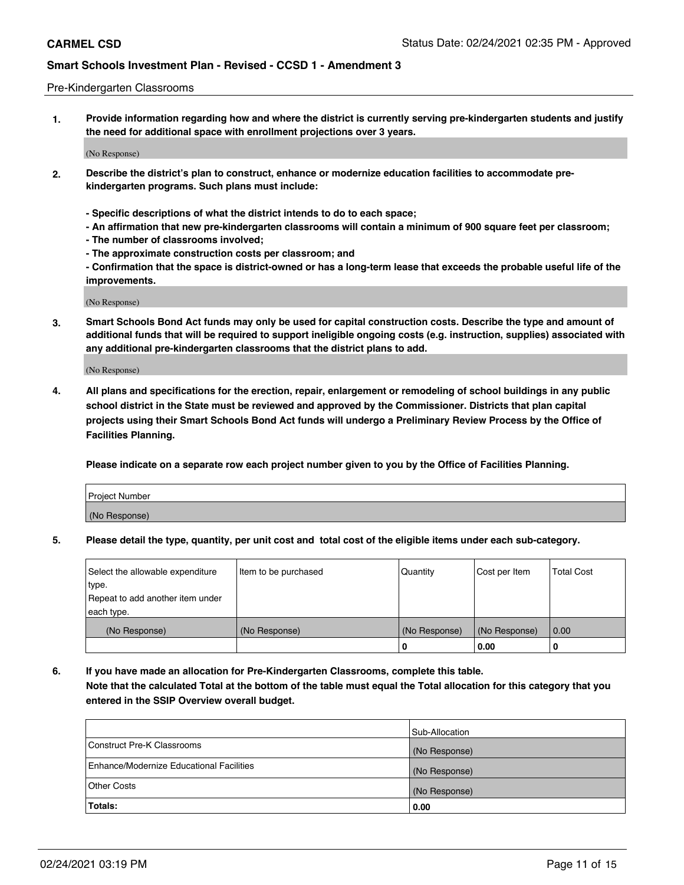#### Pre-Kindergarten Classrooms

**1. Provide information regarding how and where the district is currently serving pre-kindergarten students and justify the need for additional space with enrollment projections over 3 years.**

(No Response)

- **2. Describe the district's plan to construct, enhance or modernize education facilities to accommodate prekindergarten programs. Such plans must include:**
	- **Specific descriptions of what the district intends to do to each space;**
	- **An affirmation that new pre-kindergarten classrooms will contain a minimum of 900 square feet per classroom;**
	- **The number of classrooms involved;**
	- **The approximate construction costs per classroom; and**
	- **Confirmation that the space is district-owned or has a long-term lease that exceeds the probable useful life of the improvements.**

(No Response)

**3. Smart Schools Bond Act funds may only be used for capital construction costs. Describe the type and amount of additional funds that will be required to support ineligible ongoing costs (e.g. instruction, supplies) associated with any additional pre-kindergarten classrooms that the district plans to add.**

(No Response)

**4. All plans and specifications for the erection, repair, enlargement or remodeling of school buildings in any public school district in the State must be reviewed and approved by the Commissioner. Districts that plan capital projects using their Smart Schools Bond Act funds will undergo a Preliminary Review Process by the Office of Facilities Planning.**

**Please indicate on a separate row each project number given to you by the Office of Facilities Planning.**

| Project Number |  |
|----------------|--|
| (No Response)  |  |
|                |  |

**5. Please detail the type, quantity, per unit cost and total cost of the eligible items under each sub-category.**

| Select the allowable expenditure | Item to be purchased | Quantity      | Cost per Item | <b>Total Cost</b> |
|----------------------------------|----------------------|---------------|---------------|-------------------|
| type.                            |                      |               |               |                   |
| Repeat to add another item under |                      |               |               |                   |
| each type.                       |                      |               |               |                   |
| (No Response)                    | (No Response)        | (No Response) | (No Response) | 0.00              |
|                                  |                      | υ             | 0.00          |                   |

**6. If you have made an allocation for Pre-Kindergarten Classrooms, complete this table. Note that the calculated Total at the bottom of the table must equal the Total allocation for this category that you entered in the SSIP Overview overall budget.**

|                                          | Sub-Allocation |
|------------------------------------------|----------------|
| Construct Pre-K Classrooms               | (No Response)  |
| Enhance/Modernize Educational Facilities | (No Response)  |
| <b>Other Costs</b>                       | (No Response)  |
| Totals:                                  | 0.00           |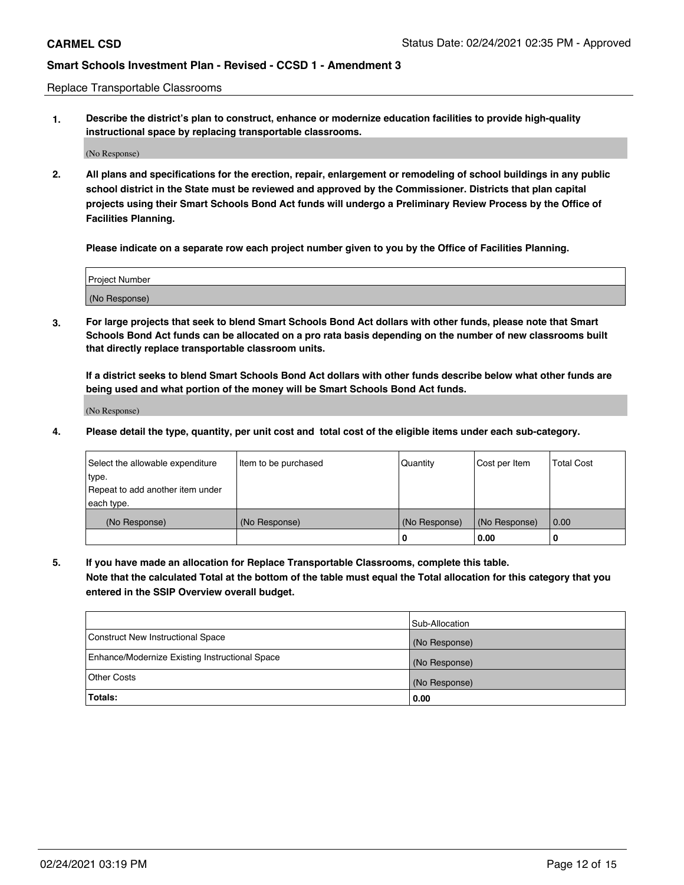Replace Transportable Classrooms

**1. Describe the district's plan to construct, enhance or modernize education facilities to provide high-quality instructional space by replacing transportable classrooms.**

(No Response)

**2. All plans and specifications for the erection, repair, enlargement or remodeling of school buildings in any public school district in the State must be reviewed and approved by the Commissioner. Districts that plan capital projects using their Smart Schools Bond Act funds will undergo a Preliminary Review Process by the Office of Facilities Planning.**

**Please indicate on a separate row each project number given to you by the Office of Facilities Planning.**

| Project Number |  |
|----------------|--|
|                |  |
| (No Response)  |  |

**3. For large projects that seek to blend Smart Schools Bond Act dollars with other funds, please note that Smart Schools Bond Act funds can be allocated on a pro rata basis depending on the number of new classrooms built that directly replace transportable classroom units.**

**If a district seeks to blend Smart Schools Bond Act dollars with other funds describe below what other funds are being used and what portion of the money will be Smart Schools Bond Act funds.**

(No Response)

**4. Please detail the type, quantity, per unit cost and total cost of the eligible items under each sub-category.**

| Select the allowable expenditure<br>∣type.<br>Repeat to add another item under | Item to be purchased | Quantity      | Cost per Item | <b>Total Cost</b> |
|--------------------------------------------------------------------------------|----------------------|---------------|---------------|-------------------|
| each type.<br>(No Response)                                                    | (No Response)        | (No Response) | (No Response) | 0.00              |
|                                                                                |                      | u             | 0.00          | 0                 |

**5. If you have made an allocation for Replace Transportable Classrooms, complete this table. Note that the calculated Total at the bottom of the table must equal the Total allocation for this category that you entered in the SSIP Overview overall budget.**

|                                                | Sub-Allocation |
|------------------------------------------------|----------------|
| Construct New Instructional Space              | (No Response)  |
| Enhance/Modernize Existing Instructional Space | (No Response)  |
| <b>Other Costs</b>                             | (No Response)  |
| Totals:                                        | 0.00           |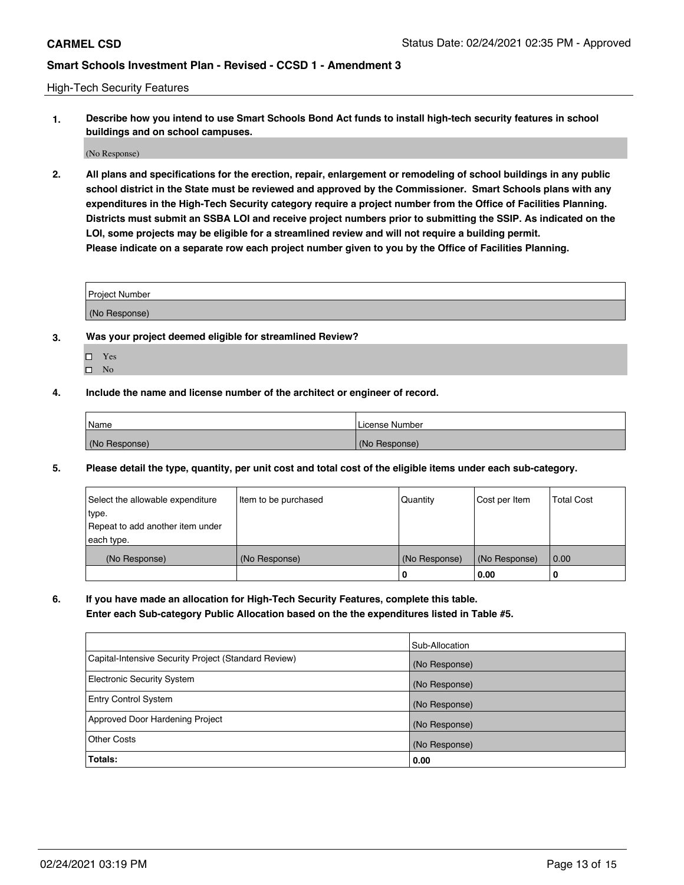High-Tech Security Features

**1. Describe how you intend to use Smart Schools Bond Act funds to install high-tech security features in school buildings and on school campuses.**

(No Response)

**2. All plans and specifications for the erection, repair, enlargement or remodeling of school buildings in any public school district in the State must be reviewed and approved by the Commissioner. Smart Schools plans with any expenditures in the High-Tech Security category require a project number from the Office of Facilities Planning. Districts must submit an SSBA LOI and receive project numbers prior to submitting the SSIP. As indicated on the LOI, some projects may be eligible for a streamlined review and will not require a building permit. Please indicate on a separate row each project number given to you by the Office of Facilities Planning.**

| <b>Project Number</b> |  |
|-----------------------|--|
| (No Response)         |  |

- **3. Was your project deemed eligible for streamlined Review?**
	- Yes
	- $\hfill \square$  <br> No
- **4. Include the name and license number of the architect or engineer of record.**

| <b>Name</b>   | License Number |
|---------------|----------------|
| (No Response) | (No Response)  |

**5. Please detail the type, quantity, per unit cost and total cost of the eligible items under each sub-category.**

| Select the allowable expenditure | Item to be purchased | Quantity      | Cost per Item | <b>Total Cost</b> |
|----------------------------------|----------------------|---------------|---------------|-------------------|
| type.                            |                      |               |               |                   |
| Repeat to add another item under |                      |               |               |                   |
| each type.                       |                      |               |               |                   |
| (No Response)                    | (No Response)        | (No Response) | (No Response) | 0.00              |
|                                  |                      | 0             | 0.00          |                   |

**6. If you have made an allocation for High-Tech Security Features, complete this table.**

**Enter each Sub-category Public Allocation based on the the expenditures listed in Table #5.**

|                                                      | Sub-Allocation |
|------------------------------------------------------|----------------|
| Capital-Intensive Security Project (Standard Review) | (No Response)  |
| Electronic Security System                           | (No Response)  |
| <b>Entry Control System</b>                          | (No Response)  |
| Approved Door Hardening Project                      | (No Response)  |
| Other Costs                                          | (No Response)  |
| Totals:                                              | 0.00           |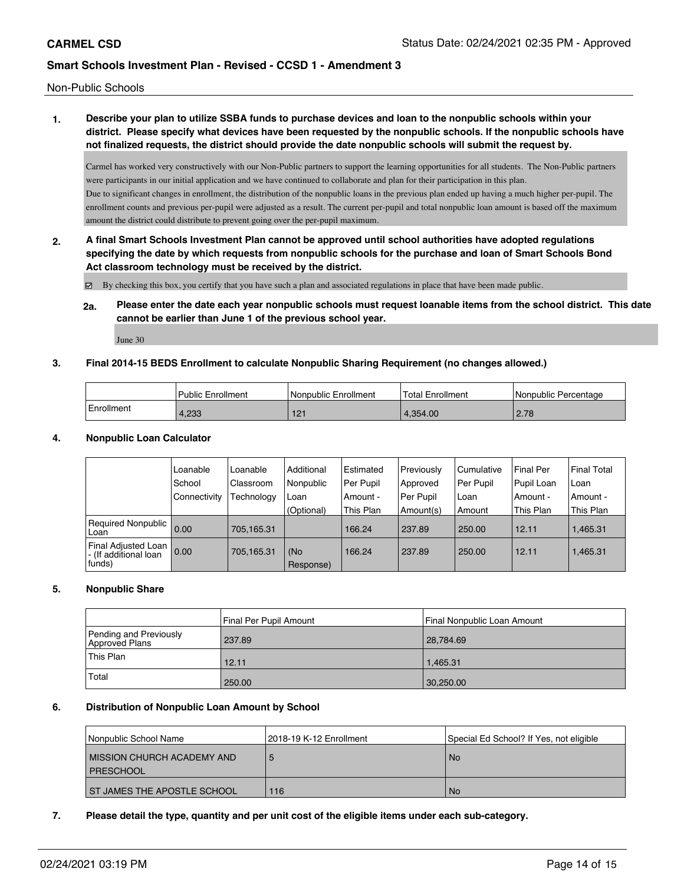Non-Public Schools

## **1. Describe your plan to utilize SSBA funds to purchase devices and loan to the nonpublic schools within your district. Please specify what devices have been requested by the nonpublic schools. If the nonpublic schools have not finalized requests, the district should provide the date nonpublic schools will submit the request by.**

Carmel has worked very constructively with our Non-Public partners to support the learning opportunities for all students. The Non-Public partners were participants in our initial application and we have continued to collaborate and plan for their participation in this plan. Due to significant changes in enrollment, the distribution of the nonpublic loans in the previous plan ended up having a much higher per-pupil. The enrollment counts and previous per-pupil were adjusted as a result. The current per-pupil and total nonpublic loan amount is based off the maximum amount the district could distribute to prevent going over the per-pupil maximum.

**2. A final Smart Schools Investment Plan cannot be approved until school authorities have adopted regulations specifying the date by which requests from nonpublic schools for the purchase and loan of Smart Schools Bond Act classroom technology must be received by the district.**

By checking this box, you certify that you have such a plan and associated regulations in place that have been made public.

**2a. Please enter the date each year nonpublic schools must request loanable items from the school district. This date cannot be earlier than June 1 of the previous school year.**

June 30

## **3. Final 2014-15 BEDS Enrollment to calculate Nonpublic Sharing Requirement (no changes allowed.)**

|            | Public Enrollment | Nonpublic Enrollment | Total Enrollment | Nonpublic Percentage |
|------------|-------------------|----------------------|------------------|----------------------|
| Enrollment | 4.233             | 121                  | 4.354.00         | 2.78                 |

### **4. Nonpublic Loan Calculator**

|                                                          | Loanable       | Loanable          | Additional       | Estimated | Previously | l Cumulative | Final Per  | <b>Final Total</b> |
|----------------------------------------------------------|----------------|-------------------|------------------|-----------|------------|--------------|------------|--------------------|
|                                                          | School         | Classroom         | Nonpublic        | Per Pupil | Approved   | Per Pupil    | Pupil Loan | Loan               |
|                                                          | l Connectivity | <b>Fechnology</b> | Loan             | Amount -  | Per Pupil  | Loan         | Amount -   | Amount -           |
|                                                          |                |                   | (Optional)       | This Plan | Amount(s)  | Amount       | This Plan  | This Plan          |
| Required Nonpublic 0.00<br>Loan                          |                | 705.165.31        |                  | 166.24    | 237.89     | 250.00       | 12.11      | 1,465.31           |
| Final Adjusted Loan<br> - (If additional loan<br> funds) | 0.00           | 705,165.31        | (No<br>Response) | 166.24    | 237.89     | 250.00       | 12.11      | 1,465.31           |

### **5. Nonpublic Share**

|                                          | Final Per Pupil Amount | Final Nonpublic Loan Amount |
|------------------------------------------|------------------------|-----------------------------|
| Pending and Previously<br>Approved Plans | 237.89                 | 28,784.69                   |
| 'This Plan                               | 12.11                  | 1.465.31                    |
| Total                                    | 250.00                 | 30,250.00                   |

### **6. Distribution of Nonpublic Loan Amount by School**

| Nonpublic School Name                     | 2018-19 K-12 Enrollment | Special Ed School? If Yes, not eligible |
|-------------------------------------------|-------------------------|-----------------------------------------|
| MISSION CHURCH ACADEMY AND<br>I PRESCHOOL |                         | <b>No</b>                               |
| <b>ST JAMES THE APOSTLE SCHOOL</b>        | 116                     | <b>No</b>                               |

### **7. Please detail the type, quantity and per unit cost of the eligible items under each sub-category.**